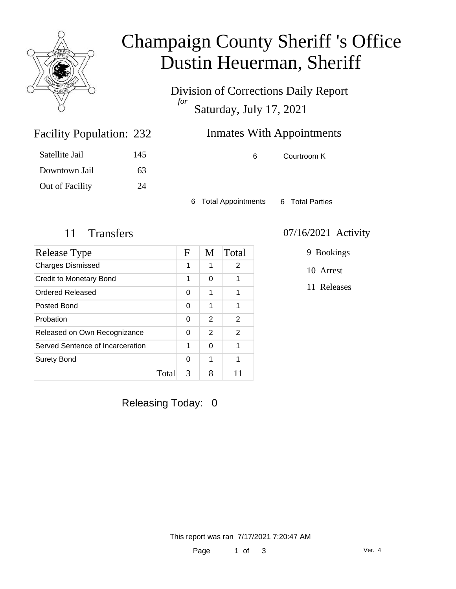

# Champaign County Sheriff 's Office Dustin Heuerman, Sheriff

Division of Corrections Daily Report *for* Saturday, July 17, 2021

## Inmates With Appointments

Satellite Jail 145 Downtown Jail 63 Out of Facility 24

Facility Population: 232

6 Courtroom K

6 Total Appointments 6 Total Parties

| Release Type                     |       | $\mathbf F$ | M | Total |
|----------------------------------|-------|-------------|---|-------|
| <b>Charges Dismissed</b>         |       | 1           | 1 | 2     |
| <b>Credit to Monetary Bond</b>   |       | 1           | 0 | 1     |
| Ordered Released                 |       | 0           | 1 | 1     |
| Posted Bond                      |       | 0           | 1 | 1     |
| Probation                        |       | 0           | 2 | 2     |
| Released on Own Recognizance     |       | 0           | 2 | 2     |
| Served Sentence of Incarceration |       | 1           | 0 | 1     |
| <b>Surety Bond</b>               |       | 0           | 1 | 1     |
|                                  | Total | 3           | 8 |       |

#### 11 Transfers 07/16/2021 Activity

9 Bookings

10 Arrest

11 Releases

Releasing Today: 0

This report was ran 7/17/2021 7:20:47 AM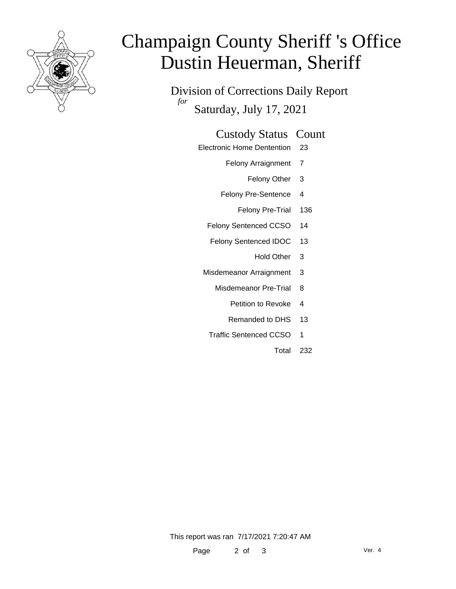

# Champaign County Sheriff 's Office Dustin Heuerman, Sheriff

Division of Corrections Daily Report *for* Saturday, July 17, 2021

#### Custody Status Count

- Electronic Home Dentention 23
	- Felony Arraignment 7
		- Felony Other 3
	- Felony Pre-Sentence 4
		- Felony Pre-Trial 136
	- Felony Sentenced CCSO 14
	- Felony Sentenced IDOC 13
		- Hold Other 3
	- Misdemeanor Arraignment 3
		- Misdemeanor Pre-Trial 8
			- Petition to Revoke 4
			- Remanded to DHS 13
		- Traffic Sentenced CCSO 1
			- Total 232

This report was ran 7/17/2021 7:20:47 AM